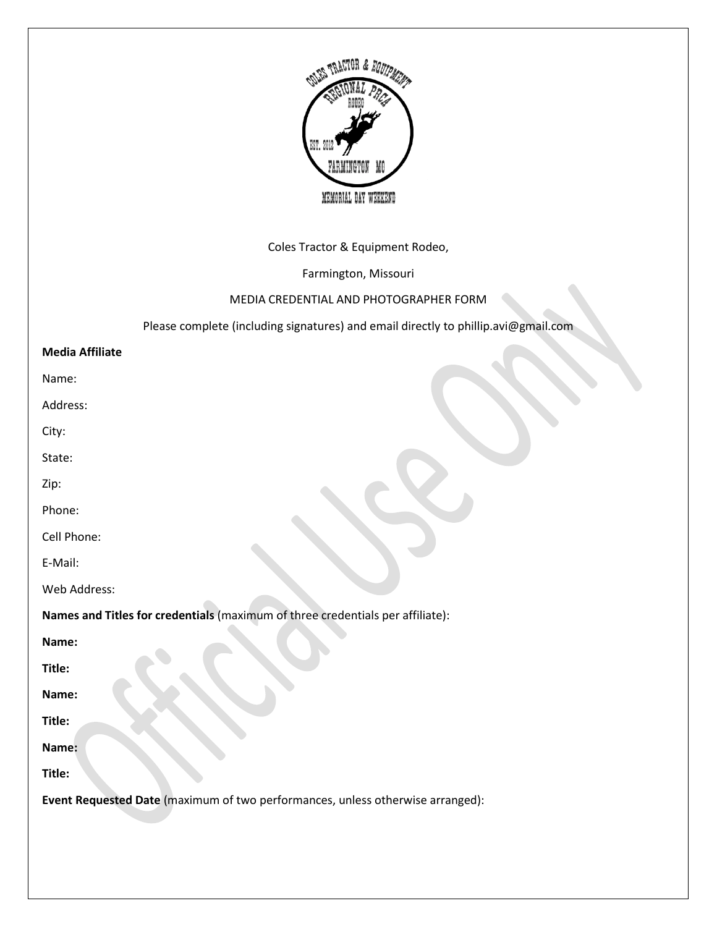

# Coles Tractor & Equipment Rodeo,

Farmington, Missouri

### MEDIA CREDENTIAL AND PHOTOGRAPHER FORM

Please complete (including signatures) and email directly to phillip.avi@gmail.com

#### **Media Affiliate**

Name:

Address:

City:

State:

Zip:

Phone:

Cell Phone:

E-Mail:

Web Address:

**Names and Titles for credentials** (maximum of three credentials per affiliate):

**Name:**

**Title:**

**Name:**

**Title:**

**Name:**

**Title:**

**Event Requested Date** (maximum of two performances, unless otherwise arranged):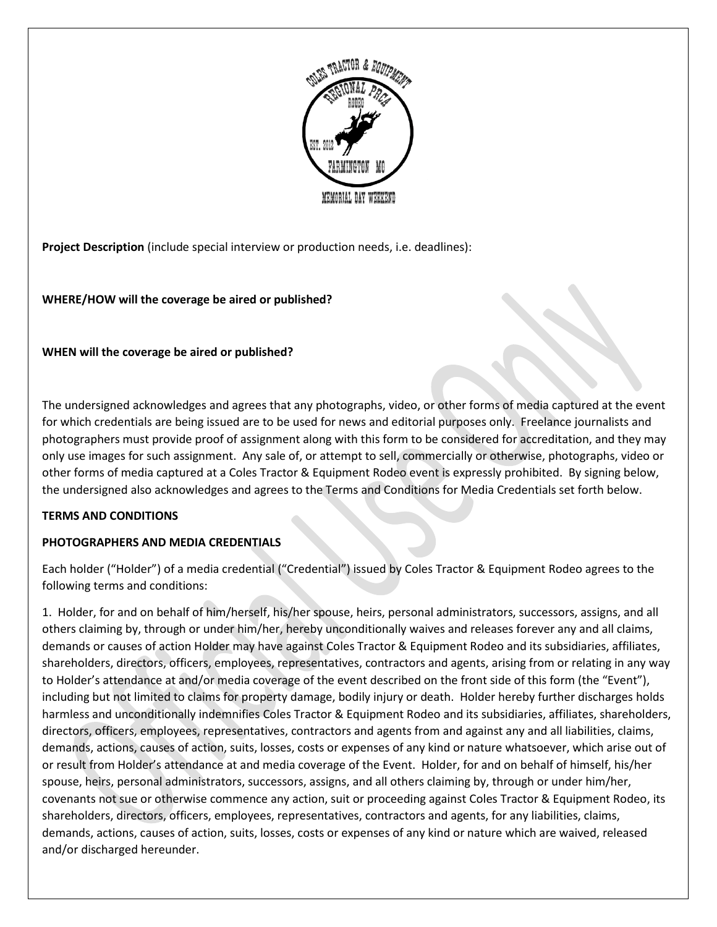

**Project Description** (include special interview or production needs, i.e. deadlines):

# **WHERE/HOW will the coverage be aired or published?**

### **WHEN will the coverage be aired or published?**

The undersigned acknowledges and agrees that any photographs, video, or other forms of media captured at the event for which credentials are being issued are to be used for news and editorial purposes only. Freelance journalists and photographers must provide proof of assignment along with this form to be considered for accreditation, and they may only use images for such assignment. Any sale of, or attempt to sell, commercially or otherwise, photographs, video or other forms of media captured at a Coles Tractor & Equipment Rodeo event is expressly prohibited. By signing below, the undersigned also acknowledges and agrees to the Terms and Conditions for Media Credentials set forth below.

### **TERMS AND CONDITIONS**

### **PHOTOGRAPHERS AND MEDIA CREDENTIALS**

Each holder ("Holder") of a media credential ("Credential") issued by Coles Tractor & Equipment Rodeo agrees to the following terms and conditions:

1. Holder, for and on behalf of him/herself, his/her spouse, heirs, personal administrators, successors, assigns, and all others claiming by, through or under him/her, hereby unconditionally waives and releases forever any and all claims, demands or causes of action Holder may have against Coles Tractor & Equipment Rodeo and its subsidiaries, affiliates, shareholders, directors, officers, employees, representatives, contractors and agents, arising from or relating in any way to Holder's attendance at and/or media coverage of the event described on the front side of this form (the "Event"), including but not limited to claims for property damage, bodily injury or death. Holder hereby further discharges holds harmless and unconditionally indemnifies Coles Tractor & Equipment Rodeo and its subsidiaries, affiliates, shareholders, directors, officers, employees, representatives, contractors and agents from and against any and all liabilities, claims, demands, actions, causes of action, suits, losses, costs or expenses of any kind or nature whatsoever, which arise out of or result from Holder's attendance at and media coverage of the Event. Holder, for and on behalf of himself, his/her spouse, heirs, personal administrators, successors, assigns, and all others claiming by, through or under him/her, covenants not sue or otherwise commence any action, suit or proceeding against Coles Tractor & Equipment Rodeo, its shareholders, directors, officers, employees, representatives, contractors and agents, for any liabilities, claims, demands, actions, causes of action, suits, losses, costs or expenses of any kind or nature which are waived, released and/or discharged hereunder.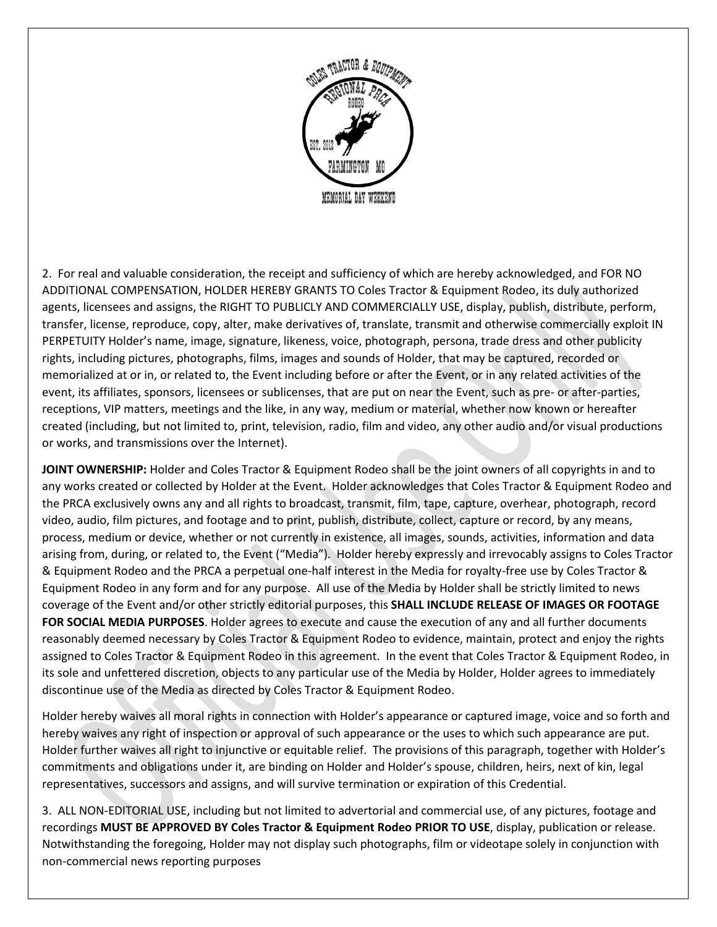

2. For real and valuable consideration, the receipt and sufficiency of which are hereby acknowledged, and FOR NO ADDITIONAL COMPENSATION, HOLDER HEREBY GRANTS TO Coles Tractor & Equipment Rodeo, its duly authorized agents, licensees and assigns, the RIGHT TO PUBLICLY AND COMMERCIALLY USE, display, publish, distribute, perform, transfer, license, reproduce, copy, alter, make derivatives of, translate, transmit and otherwise commercially exploit IN PERPETUITY Holder's name, image, signature, likeness, voice, photograph, persona, trade dress and other publicity rights, including pictures, photographs, films, images and sounds of Holder, that may be captured, recorded or memorialized at or in, or related to, the Event including before or after the Event, or in any related activities of the event, its affiliates, sponsors, licensees or sublicenses, that are put on near the Event, such as pre- or after-parties, receptions, VIP matters, meetings and the like, in any way, medium or material, whether now known or hereafter created (including, but not limited to, print, television, radio, film and video, any other audio and/or visual productions or works, and transmissions over the Internet).

**JOINT OWNERSHIP:** Holder and Coles Tractor & Equipment Rodeo shall be the joint owners of all copyrights in and to any works created or collected by Holder at the Event. Holder acknowledges that Coles Tractor & Equipment Rodeo and the PRCA exclusively owns any and all rights to broadcast, transmit, film, tape, capture, overhear, photograph, record video, audio, film pictures, and footage and to print, publish, distribute, collect, capture or record, by any means, process, medium or device, whether or not currently in existence, all images, sounds, activities, information and data arising from, during, or related to, the Event ("Media"). Holder hereby expressly and irrevocably assigns to Coles Tractor & Equipment Rodeo and the PRCA a perpetual one-half interest in the Media for royalty-free use by Coles Tractor & Equipment Rodeo in any form and for any purpose. All use of the Media by Holder shall be strictly limited to news coverage of the Event and/or other strictly editorial purposes, this **SHALL INCLUDE RELEASE OF IMAGES OR FOOTAGE FOR SOCIAL MEDIA PURPOSES**. Holder agrees to execute and cause the execution of any and all further documents reasonably deemed necessary by Coles Tractor & Equipment Rodeo to evidence, maintain, protect and enjoy the rights assigned to Coles Tractor & Equipment Rodeo in this agreement. In the event that Coles Tractor & Equipment Rodeo, in its sole and unfettered discretion, objects to any particular use of the Media by Holder, Holder agrees to immediately discontinue use of the Media as directed by Coles Tractor & Equipment Rodeo.

Holder hereby waives all moral rights in connection with Holder's appearance or captured image, voice and so forth and hereby waives any right of inspection or approval of such appearance or the uses to which such appearance are put. Holder further waives all right to injunctive or equitable relief. The provisions of this paragraph, together with Holder's commitments and obligations under it, are binding on Holder and Holder's spouse, children, heirs, next of kin, legal representatives, successors and assigns, and will survive termination or expiration of this Credential.

3. ALL NON-EDITORIAL USE, including but not limited to advertorial and commercial use, of any pictures, footage and recordings **MUST BE APPROVED BY Coles Tractor & Equipment Rodeo PRIOR TO USE**, display, publication or release. Notwithstanding the foregoing, Holder may not display such photographs, film or videotape solely in conjunction with non-commercial news reporting purposes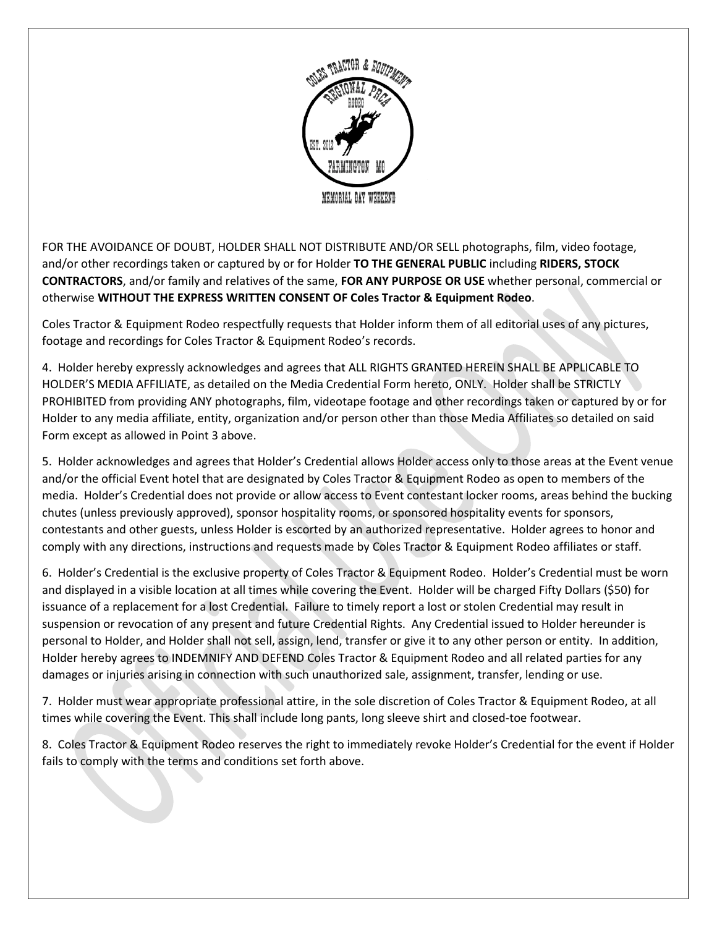

FOR THE AVOIDANCE OF DOUBT, HOLDER SHALL NOT DISTRIBUTE AND/OR SELL photographs, film, video footage, and/or other recordings taken or captured by or for Holder **TO THE GENERAL PUBLIC** including **RIDERS, STOCK CONTRACTORS**, and/or family and relatives of the same, **FOR ANY PURPOSE OR USE** whether personal, commercial or otherwise **WITHOUT THE EXPRESS WRITTEN CONSENT OF Coles Tractor & Equipment Rodeo**.

Coles Tractor & Equipment Rodeo respectfully requests that Holder inform them of all editorial uses of any pictures, footage and recordings for Coles Tractor & Equipment Rodeo's records.

4. Holder hereby expressly acknowledges and agrees that ALL RIGHTS GRANTED HEREIN SHALL BE APPLICABLE TO HOLDER'S MEDIA AFFILIATE, as detailed on the Media Credential Form hereto, ONLY. Holder shall be STRICTLY PROHIBITED from providing ANY photographs, film, videotape footage and other recordings taken or captured by or for Holder to any media affiliate, entity, organization and/or person other than those Media Affiliates so detailed on said Form except as allowed in Point 3 above.

5. Holder acknowledges and agrees that Holder's Credential allows Holder access only to those areas at the Event venue and/or the official Event hotel that are designated by Coles Tractor & Equipment Rodeo as open to members of the media. Holder's Credential does not provide or allow access to Event contestant locker rooms, areas behind the bucking chutes (unless previously approved), sponsor hospitality rooms, or sponsored hospitality events for sponsors, contestants and other guests, unless Holder is escorted by an authorized representative. Holder agrees to honor and comply with any directions, instructions and requests made by Coles Tractor & Equipment Rodeo affiliates or staff.

6. Holder's Credential is the exclusive property of Coles Tractor & Equipment Rodeo. Holder's Credential must be worn and displayed in a visible location at all times while covering the Event. Holder will be charged Fifty Dollars (\$50) for issuance of a replacement for a lost Credential. Failure to timely report a lost or stolen Credential may result in suspension or revocation of any present and future Credential Rights. Any Credential issued to Holder hereunder is personal to Holder, and Holder shall not sell, assign, lend, transfer or give it to any other person or entity. In addition, Holder hereby agrees to INDEMNIFY AND DEFEND Coles Tractor & Equipment Rodeo and all related parties for any damages or injuries arising in connection with such unauthorized sale, assignment, transfer, lending or use.

7. Holder must wear appropriate professional attire, in the sole discretion of Coles Tractor & Equipment Rodeo, at all times while covering the Event. This shall include long pants, long sleeve shirt and closed-toe footwear.

8. Coles Tractor & Equipment Rodeo reserves the right to immediately revoke Holder's Credential for the event if Holder fails to comply with the terms and conditions set forth above.